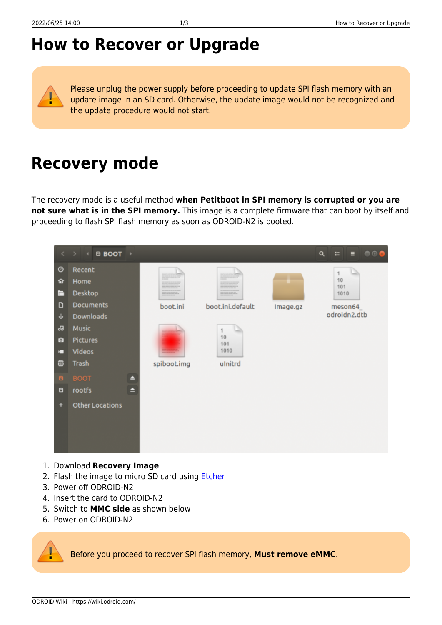## **How to Recover or Upgrade**

Please unplug the power supply before proceeding to update SPI flash memory with an update image in an SD card. Otherwise, the update image would not be recognized and the update procedure would not start.

## **Recovery mode**

The recovery mode is a useful method **when Petitboot in SPI memory is corrupted or you are not sure what is in the SPI memory.** This image is a complete firmware that can boot by itself and proceeding to flash SPI flash memory as soon as ODROID-N2 is booted.



- 1. Download **Recovery Image**
- 2. Flash the image to micro SD card using [Etcher](https://wiki.odroid.com/troubleshooting/odroid_flashing_tools?s[]=etcher#using_etcher)
- 3. Power off ODROID-N2
- 4. Insert the card to ODROID-N2
- 5. Switch to **MMC side** as shown below
- 6. Power on ODROID-N2

Before you proceed to recover SPI flash memory, **Must remove eMMC**.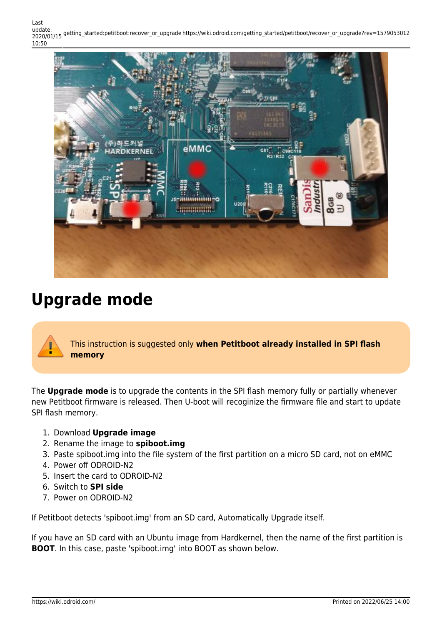Last update: 2020/01/15 getting\_started:petitboot:recover\_or\_upgrade https://wiki.odroid.com/getting\_started/petitboot/recover\_or\_upgrade?rev=1579053012 10:50



## **Upgrade mode**

This instruction is suggested only **when Petitboot already installed in SPI flash memory**

The **Upgrade mode** is to upgrade the contents in the SPI flash memory fully or partially whenever new Petitboot firmware is released. Then U-boot will recoginize the firmware file and start to update SPI flash memory.

- 1. Download **Upgrade image**
- 2. Rename the image to **spiboot.img**
- 3. Paste spiboot.img into the file system of the first partition on a micro SD card, not on eMMC
- 4. Power off ODROID-N2
- 5. Insert the card to ODROID-N2
- 6. Switch to **SPI side**
- 7. Power on ODROID-N2

If Petitboot detects 'spiboot.img' from an SD card, Automatically Upgrade itself.

If you have an SD card with an Ubuntu image from Hardkernel, then the name of the first partition is **BOOT**. In this case, paste 'spiboot.img' into BOOT as shown below.